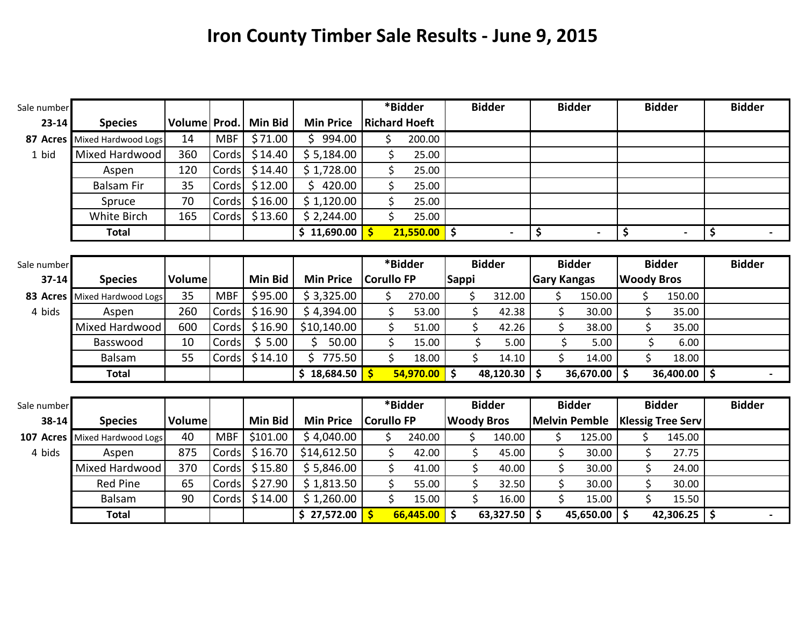## **Iron County Timber Sale Results - June 9, 2015**

| Sale number |                     |              |            |                |                  |              | *Bidder              |        |                     | <b>Bidder</b>     |                    | <b>Bidder</b> |                      | <b>Bidder</b>            |               | <b>Bidder</b> |
|-------------|---------------------|--------------|------------|----------------|------------------|--------------|----------------------|--------|---------------------|-------------------|--------------------|---------------|----------------------|--------------------------|---------------|---------------|
| $23 - 14$   | <b>Species</b>      | Volume Prod. |            | Min Bid        | <b>Min Price</b> |              | <b>Richard Hoeft</b> |        |                     |                   |                    |               |                      |                          |               |               |
| 87 Acres    | Mixed Hardwood Logs | 14           | <b>MBF</b> | \$71.00        | \$994.00         |              | \$                   | 200.00 |                     |                   |                    |               |                      |                          |               |               |
| 1 bid       | Mixed Hardwood      | 360          | Cords      | \$14.40        | \$5,184.00       |              | \$                   | 25.00  |                     |                   |                    |               |                      |                          |               |               |
|             | Aspen               | 120          | Cords      | \$14.40        | \$1,728.00       |              | \$                   | 25.00  |                     |                   |                    |               |                      |                          |               |               |
|             | <b>Balsam Fir</b>   | 35           | Cords      | \$12.00        | \$420.00         |              | \$                   | 25.00  |                     |                   |                    |               |                      |                          |               |               |
|             | Spruce              | 70           | Cords      | \$16.00        | \$1,120.00       |              | \$                   | 25.00  |                     |                   |                    |               |                      |                          |               |               |
|             | White Birch         | 165          | Cords      | \$13.60        | \$2,244.00       |              | \$                   | 25.00  |                     |                   |                    |               |                      |                          |               |               |
|             | <b>Total</b>        |              |            |                | \$11,690.00      | $\mathsf{S}$ | $21,550.00$ \$       |        |                     |                   | \$                 |               | $\blacksquare$       | \$<br>$\blacksquare$     | \$            |               |
|             |                     |              |            |                |                  |              |                      |        |                     |                   |                    |               |                      |                          |               |               |
| Sale number |                     |              |            |                |                  |              | *Bidder              |        |                     | <b>Bidder</b>     |                    | <b>Bidder</b> |                      | <b>Bidder</b>            |               | <b>Bidder</b> |
| $37 - 14$   | <b>Species</b>      | Volume       |            | <b>Min Bid</b> | <b>Min Price</b> |              | <b>Corullo FP</b>    |        | <b>Sappi</b>        |                   | <b>Gary Kangas</b> |               |                      | <b>Woody Bros</b>        |               |               |
| 83 Acres    | Mixed Hardwood Logs | 35           | <b>MBF</b> | \$95.00        | \$3,325.00       |              | \$                   | 270.00 | \$                  | 312.00            |                    | \$            | 150.00               | $\zeta$<br>150.00        |               |               |
| 4 bids      | Aspen               | 260          | Cords      | \$16.90        | \$4,394.00       |              | \$                   | 53.00  | \$                  | 42.38             |                    | \$            | 30.00                | \$<br>35.00              |               |               |
|             | Mixed Hardwood      | 600          | Cords      | \$16.90        | \$10,140.00      |              | \$                   | 51.00  | \$                  | 42.26             |                    | \$            | 38.00                | \$<br>35.00              |               |               |
|             | Basswood            | 10           | Cords      | \$5.00         | Ś.<br>50.00      |              | \$                   | 15.00  |                     | \$<br>5.00        |                    | \$            | 5.00                 | \$<br>6.00               |               |               |
|             | <b>Balsam</b>       | 55           | Cords      | \$14.10        | \$775.50         |              | \$                   | 18.00  | \$                  | 14.10             |                    | \$            | 14.00                | \$<br>18.00              |               |               |
|             | <b>Total</b>        |              |            |                | \$18,684.50      | -\$          | $54,970.00$ \$       |        |                     | $48,120.30$ \$    |                    |               | $36,670.00$   \$     | $36,400.00$ \$           |               | $\sim$        |
|             |                     |              |            |                |                  |              |                      |        |                     |                   |                    |               |                      |                          |               |               |
| Sale number |                     |              |            |                |                  |              | *Bidder              |        |                     | <b>Bidder</b>     |                    | <b>Bidder</b> |                      | <b>Bidder</b>            |               | <b>Bidder</b> |
| 38-14       | <b>Species</b>      | Volume       |            | <b>Min Bid</b> | <b>Min Price</b> |              | Corullo FP           |        |                     | <b>Woody Bros</b> |                    |               | <b>Melvin Pemble</b> | <b>Klessig Tree Serv</b> |               |               |
| 107 Acres   | Mixed Hardwood Logs | 40           | <b>MBF</b> | \$101.00       | \$4,040.00       |              | \$.                  | 240.00 | \$.                 | 140.00            |                    | \$            | 125.00               | Ŝ.<br>145.00             |               |               |
| 4 bids      | Aspen               | 875          | Cords      | \$16.70        | \$14,612.50      |              | \$                   | 42.00  | \$                  | 45.00             |                    | \$            | 30.00                | \$<br>27.75              |               |               |
|             | Mixed Hardwood      | 370          | Cords      | \$15.80        | \$5,846.00       |              | \$                   | 41.00  | \$                  | 40.00             |                    | \$            | 30.00                | \$<br>24.00              |               |               |
|             | <b>Red Pine</b>     | 65           | Cords      | \$27.90        | \$1,813.50       |              | \$                   | 55.00  | \$                  | 32.50             |                    | \$            | 30.00                | \$<br>30.00              |               |               |
|             | <b>Balsam</b>       | 90           | Cords      | \$14.00        | \$1,260.00       |              | \$                   | 15.00  | \$                  | 16.00             |                    | \$            | 15.00                | \$<br>15.50              |               |               |
|             | <b>Total</b>        |              |            |                | \$27,572.00      | $\mathsf{S}$ | 66,445.00            |        | $\ddot{\bm{\zeta}}$ | 63,327.50         | \$ ا               |               | $45,650.00$   \$     | 42,306.25                | $\mathsf{\$}$ |               |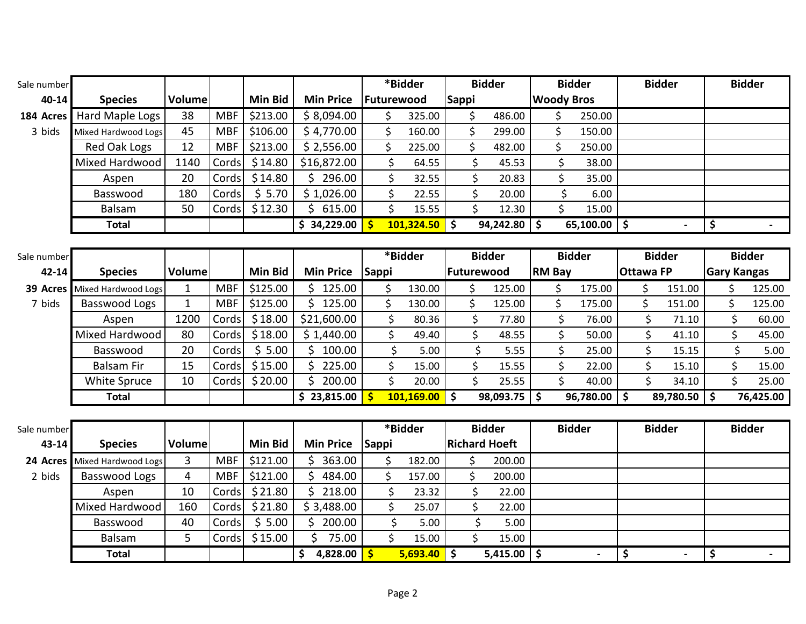| Sale number |                      |               |            |                |                  |              | *Bidder         |                          | <b>Bidder</b> |                      |                   | <b>Bidder</b> |           |                  |                    | <b>Bidder</b>            | <b>Bidder</b>      |           |
|-------------|----------------------|---------------|------------|----------------|------------------|--------------|-----------------|--------------------------|---------------|----------------------|-------------------|---------------|-----------|------------------|--------------------|--------------------------|--------------------|-----------|
| 40-14       | <b>Species</b>       | Volume        |            | Min Bid        | <b>Min Price</b> | Futurewood   |                 | <b>Sappi</b>             |               |                      | <b>Woody Bros</b> |               |           |                  |                    |                          |                    |           |
| 184 Acres   | Hard Maple Logs      | 38            | <b>MBF</b> | \$213.00       | \$8,094.00       | \$           | 325.00          |                          | \$            | 486.00               |                   | \$            | 250.00    |                  |                    |                          |                    |           |
| 3 bids      | Mixed Hardwood Logs  | 45            | <b>MBF</b> | \$106.00       | \$4,770.00       | \$           | 160.00          |                          | \$            | 299.00               |                   | \$            | 150.00    |                  |                    |                          |                    |           |
|             | Red Oak Logs         | 12            | <b>MBF</b> | \$213.00       | \$2,556.00       | \$           | 225.00          |                          | \$            | 482.00               |                   | \$            | 250.00    |                  |                    |                          |                    |           |
|             | Mixed Hardwood       | 1140          | Cords      | \$14.80        | \$16,872.00      | \$           | 64.55           |                          | \$            | 45.53                |                   | \$            | 38.00     |                  |                    |                          |                    |           |
|             | Aspen                | 20            | Cords      | \$14.80        | \$296.00         | \$           | 32.55           |                          | \$            | 20.83                |                   | \$            | 35.00     |                  |                    |                          |                    |           |
|             | Basswood             | 180           | Cords      | \$5.70         | \$1,026.00       | \$           | 22.55           |                          | \$            | 20.00                |                   | \$            | 6.00      |                  |                    |                          |                    |           |
|             | Balsam               | 50            | Cords      | \$12.30        | Ś.<br>615.00     | \$           | 15.55           |                          | \$            | 12.30                |                   | \$            | 15.00     |                  |                    |                          |                    |           |
|             | <b>Total</b>         |               |            |                | \$34,229.00      | $\mathsf{S}$ | 101,324.50      | $\overline{\phantom{a}}$ |               | $94,242.80$ \$       |                   |               | 65,100.00 | l \$             |                    |                          | \$                 |           |
|             |                      |               |            |                |                  |              |                 |                          |               |                      |                   |               |           |                  |                    |                          |                    |           |
| Sale number |                      |               |            |                |                  |              | *Bidder         |                          |               | <b>Bidder</b>        |                   | <b>Bidder</b> |           |                  |                    | <b>Bidder</b>            | <b>Bidder</b>      |           |
| $42 - 14$   | <b>Species</b>       | <b>Volume</b> |            | <b>Min Bid</b> | <b>Min Price</b> | Sappi        |                 |                          | Futurewood    |                      | <b>RM Bay</b>     |               |           | <b>Ottawa FP</b> |                    |                          | <b>Gary Kangas</b> |           |
| 39 Acres    | Mixed Hardwood Logs  | $\mathbf{1}$  | <b>MBF</b> | \$125.00       | \$125.00         | \$           | 130.00          |                          | \$            | 125.00               |                   | \$            | 175.00    |                  | \$                 | 151.00                   | \$                 | 125.00    |
| 7 bids      | Basswood Logs        | $\mathbf{1}$  | <b>MBF</b> | \$125.00       | Ś.<br>125.00     | \$           | 130.00          |                          | \$            | 125.00               |                   | \$            | 175.00    |                  | \$                 | 151.00                   | \$                 | 125.00    |
|             | Aspen                | 1200          | Cords      | \$18.00        | \$21,600.00      | \$           | 80.36           |                          | \$            | 77.80                |                   | \$            | 76.00     |                  | \$                 | 71.10                    | \$                 | 60.00     |
|             | Mixed Hardwood       | 80            | Cords      | \$18.00        | \$1,440.00       | \$           | 49.40           |                          | \$            | 48.55                |                   | \$            | 50.00     |                  | \$                 | 41.10                    | \$                 | 45.00     |
|             | Basswood             | 20            | Cords      | \$5.00         | Ś.<br>100.00     | \$           | 5.00            |                          | \$            | 5.55                 |                   | \$            | 25.00     |                  | \$                 | 15.15                    | \$                 | 5.00      |
|             | <b>Balsam Fir</b>    | 15            | Cords      | \$15.00        | 225.00           | \$           | 15.00           |                          | \$            | 15.55                |                   | \$            | 22.00     |                  | \$                 | 15.10                    | \$                 | 15.00     |
|             | White Spruce         | 10            | Cords      | \$20.00        | \$<br>200.00     | \$           | 20.00           |                          | \$            | 25.55                |                   | \$            | 40.00     |                  | $\mathsf{\dot{S}}$ | 34.10                    | \$                 | 25.00     |
|             | <b>Total</b>         |               |            |                | \$23,815.00      | Ŝ            | $101,169.00$ \$ |                          |               | $98,093.75$ \$       |                   |               | 96,780.00 | \$ ا             |                    | 89,780.50 \$             |                    | 76,425.00 |
|             |                      |               |            |                |                  |              |                 |                          |               |                      |                   |               |           |                  |                    |                          |                    |           |
| Sale number |                      |               |            |                |                  |              | *Bidder         |                          | <b>Bidder</b> |                      |                   | <b>Bidder</b> |           |                  |                    | <b>Bidder</b>            | <b>Bidder</b>      |           |
| 43-14       | <b>Species</b>       | <b>Volume</b> |            | <b>Min Bid</b> | <b>Min Price</b> | Sappi        |                 |                          |               | <b>Richard Hoeft</b> |                   |               |           |                  |                    |                          |                    |           |
| 24 Acres    | Mixed Hardwood Logs  | 3             | <b>MBF</b> | \$121.00       | Ś.<br>363.00     | \$           | 182.00          |                          | \$            | 200.00               |                   |               |           |                  |                    |                          |                    |           |
| 2 bids      | <b>Basswood Logs</b> | 4             | <b>MBF</b> | \$121.00       | Ś.<br>484.00     | \$           | 157.00          |                          | \$            | 200.00               |                   |               |           |                  |                    |                          |                    |           |
|             | Aspen                | 10            | Cords      | \$21.80        | Ś.<br>218.00     | \$           | 23.32           |                          | \$            | 22.00                |                   |               |           |                  |                    |                          |                    |           |
|             | Mixed Hardwood       | 160           | Cords      | \$21.80        | \$3,488.00       | \$           | 25.07           |                          | \$            | 22.00                |                   |               |           |                  |                    |                          |                    |           |
|             | Basswood             | 40            | Cords      | \$5.00         | \$<br>200.00     | \$           | 5.00            |                          | \$            | 5.00                 |                   |               |           |                  |                    |                          |                    |           |
|             | Balsam               | 5             | Cords      | \$15.00        | $\zeta$<br>75.00 | \$           | 15.00           |                          | \$            | 15.00                |                   |               |           |                  |                    |                          |                    |           |
|             | <b>Total</b>         |               |            |                | \$<br>4,828.00   | $\mathsf{s}$ | $5,693.40$ \$   |                          |               | $5,415.00$ \$        |                   |               |           | \$               |                    | $\overline{\phantom{a}}$ | \$                 |           |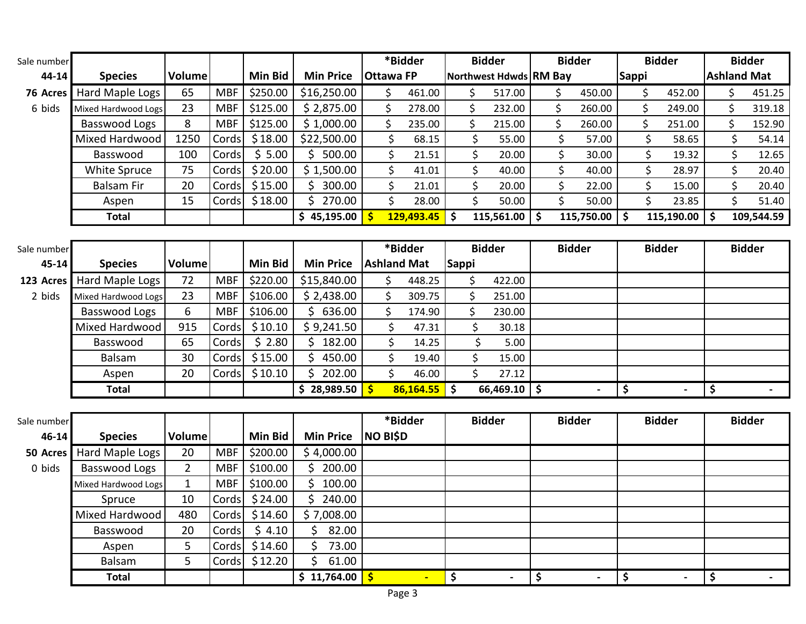| Sale number |                      |                |            |                |                       |                    | *Bidder         |                    | <b>Bidder</b>          | <b>Bidder</b>                  |                                 | <b>Bidder</b>            |                     | <b>Bidder</b>            |
|-------------|----------------------|----------------|------------|----------------|-----------------------|--------------------|-----------------|--------------------|------------------------|--------------------------------|---------------------------------|--------------------------|---------------------|--------------------------|
| 44-14       | <b>Species</b>       | Volume         |            | <b>Min Bid</b> | <b>Min Price</b>      | <b>Ottawa FP</b>   |                 |                    | Northwest Hdwds RM Bay |                                | <b>Sappi</b>                    |                          |                     | <b>Ashland Mat</b>       |
| 76 Acres    | Hard Maple Logs      | 65             | <b>MBF</b> | \$250.00       | \$16,250.00           | \$                 | 461.00          | \$                 | 517.00                 | \$<br>450.00                   | \$                              | 452.00                   | \$                  | 451.25                   |
| 6 bids      | Mixed Hardwood Logs  | 23             | <b>MBF</b> | \$125.00       | \$2,875.00            | \$                 | 278.00          | \$                 | 232.00                 | \$<br>260.00                   | \$                              | 249.00                   | \$                  | 319.18                   |
|             | <b>Basswood Logs</b> | 8              | <b>MBF</b> | \$125.00       | \$1,000.00            | \$                 | 235.00          | \$                 | 215.00                 | \$<br>260.00                   | \$                              | 251.00                   | \$                  | 152.90                   |
|             | Mixed Hardwood       | 1250           | Cords      | \$18.00        | \$22,500.00           | \$                 | 68.15           | \$                 | 55.00                  | \$<br>57.00                    | \$                              | 58.65                    |                     | \$<br>54.14              |
|             | Basswood             | 100            | Cords      | \$5.00         | \$500.00              | \$                 | 21.51           | \$                 | 20.00                  | \$<br>30.00                    |                                 | \$<br>19.32              |                     | \$<br>12.65              |
|             | White Spruce         | 75             | Cords      | \$20.00        | \$1,500.00            | \$                 | 41.01           | \$                 | 40.00                  | \$<br>40.00                    | \$                              | 28.97                    |                     | \$<br>20.40              |
|             | <b>Balsam Fir</b>    | 20             | Cords      | \$15.00        | \$300.00              | \$                 | 21.01           | \$                 | 20.00                  | \$<br>22.00                    |                                 | \$<br>15.00              |                     | \$<br>20.40              |
|             | Aspen                | 15             | Cords      | \$18.00        | \$270.00              | \$                 | 28.00           | \$                 | 50.00                  | \$<br>50.00                    | \$                              | 23.85                    |                     | \$<br>51.40              |
|             | <b>Total</b>         |                |            |                | \$45,195.00           | $\mathsf{s}$       | $129,493.45$ \$ |                    | $115,561.00$ \$        | 115,750.00                     | $\mathsf{\hat{S}}$              | 115,190.00               | $\ddot{\bm{\zeta}}$ | 109,544.59               |
|             |                      |                |            |                |                       |                    |                 |                    |                        |                                |                                 |                          |                     |                          |
| Sale number |                      |                |            |                |                       |                    | *Bidder         |                    | <b>Bidder</b>          | <b>Bidder</b>                  |                                 | <b>Bidder</b>            |                     | <b>Bidder</b>            |
| 45-14       | <b>Species</b>       | Volume         |            | <b>Min Bid</b> | <b>Min Price</b>      | <b>Ashland Mat</b> |                 | <b>Sappi</b>       |                        |                                |                                 |                          |                     |                          |
| 123 Acres   | Hard Maple Logs      | 72             | <b>MBF</b> | \$220.00       | \$15,840.00           | \$                 | 448.25          | \$                 | 422.00                 |                                |                                 |                          |                     |                          |
| 2 bids      | Mixed Hardwood Logs  | 23             | <b>MBF</b> | \$106.00       | \$2,438.00            | \$                 | 309.75          | \$                 | 251.00                 |                                |                                 |                          |                     |                          |
|             | Basswood Logs        | 6              | <b>MBF</b> | \$106.00       | \$636.00              | \$                 | 174.90          | \$                 | 230.00                 |                                |                                 |                          |                     |                          |
|             | Mixed Hardwood       | 915            | Cords      | \$10.10        | \$9,241.50            | \$                 | 47.31           | \$                 | 30.18                  |                                |                                 |                          |                     |                          |
|             | Basswood             | 65             | Cords      | \$2.80         | \$182.00              | \$                 | 14.25           | \$                 | 5.00                   |                                |                                 |                          |                     |                          |
|             | Balsam               | 30             | Cords      | \$15.00        | Ś.<br>450.00          | \$                 | 19.40           | $\zeta$            | 15.00                  |                                |                                 |                          |                     |                          |
|             | Aspen                | 20             | Cords      | \$10.10        | \$<br>202.00          | $\mathsf{\dot{S}}$ | 46.00           | $\mathsf{\dot{S}}$ | 27.12                  |                                |                                 |                          |                     |                          |
|             | <b>Total</b>         |                |            |                | \$28,989.50           | $\mathsf{S}$       | $86,164.55$ \$  |                    | $66,469.10$ \$         |                                | $\overline{\boldsymbol{\zeta}}$ |                          | \$                  |                          |
|             |                      |                |            |                |                       |                    |                 |                    |                        |                                |                                 |                          |                     |                          |
| Sale number |                      |                |            |                |                       |                    | *Bidder         |                    | <b>Bidder</b>          | <b>Bidder</b>                  |                                 | <b>Bidder</b>            |                     | <b>Bidder</b>            |
| $46 - 14$   | <b>Species</b>       | Volume         |            | <b>Min Bid</b> | <b>Min Price</b>      | <b>NO BISD</b>     |                 |                    |                        |                                |                                 |                          |                     |                          |
| 50 Acres    | Hard Maple Logs      | 20             | <b>MBF</b> | \$200.00       | \$4,000.00            |                    |                 |                    |                        |                                |                                 |                          |                     |                          |
| 0 bids      | Basswood Logs        | $\overline{2}$ | <b>MBF</b> | \$100.00       | \$200.00              |                    |                 |                    |                        |                                |                                 |                          |                     |                          |
|             | Mixed Hardwood Logs  | $\mathbf{1}$   | <b>MBF</b> | \$100.00       | $\zeta$<br>100.00     |                    |                 |                    |                        |                                |                                 |                          |                     |                          |
|             | Spruce               | 10             | Cords      | \$24.00        | \$240.00              |                    |                 |                    |                        |                                |                                 |                          |                     |                          |
|             | Mixed Hardwood       | 480            | Cords      | \$14.60        | \$7,008.00            |                    |                 |                    |                        |                                |                                 |                          |                     |                          |
|             | Basswood             | 20             | Cords      | \$4.10         | $\mathsf{S}$<br>82.00 |                    |                 |                    |                        |                                |                                 |                          |                     |                          |
|             | Aspen                | 5              | Cords      | \$14.60        | \$<br>73.00           |                    |                 |                    |                        |                                |                                 |                          |                     |                          |
|             | Balsam               | 5              | Cords      | \$12.20        | Ś.<br>61.00           |                    |                 |                    |                        |                                |                                 |                          |                     |                          |
|             | <b>Total</b>         |                |            |                | \$11,764.00           |                    |                 | \$                 |                        | \$<br>$\overline{\phantom{a}}$ | \$                              | $\overline{\phantom{a}}$ | \$                  | $\overline{\phantom{a}}$ |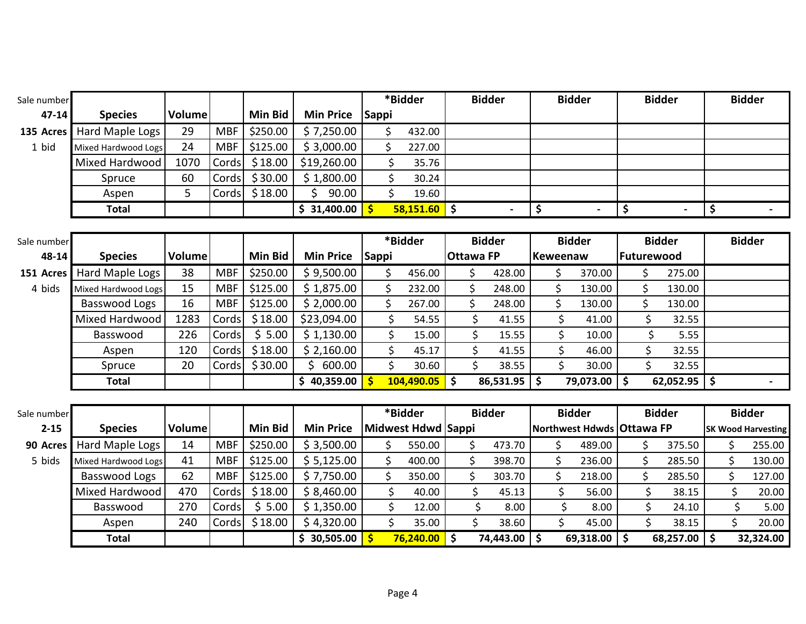| Sale number |                     |        |            |                |                        |              | *Bidder        | <b>Bidder</b> | <b>Bidder</b> | <b>Bidder</b> | <b>Bidder</b> |
|-------------|---------------------|--------|------------|----------------|------------------------|--------------|----------------|---------------|---------------|---------------|---------------|
| $47 - 14$   | <b>Species</b>      | Volume |            | <b>Min Bid</b> | <b>Min Price</b>       | <b>Sappi</b> |                |               |               |               |               |
| 135 Acres   | Hard Maple Logs     | 29     | <b>MBF</b> | \$250.00       | \$7,250.00             |              | 432.00         |               |               |               |               |
| 1 bid       | Mixed Hardwood Logs | 24     | MBF        | \$125.00       | \$3,000.00             |              | 227.00         |               |               |               |               |
|             | Mixed Hardwood      | 1070   | Cords      |                | $$18.00$   \$19,260.00 |              | 35.76          |               |               |               |               |
|             | Spruce              | 60     | Cords      | \$30.00        | \$1,800.00             |              | 30.24          |               |               |               |               |
|             | Aspen               | ͻ      | Cords      | \$18.00        | 90.00                  |              | 19.60          |               |               |               |               |
|             | <b>Total</b>        |        |            |                | \$31,400.00            |              | $58,151.60$ \$ |               |               |               |               |

| Sale number |                     |        |            |          |                               |              | *Bidder    | <b>Bidder</b>    |                           |          | <b>Bidder</b> |           |            | <b>Bidder</b> | <b>Bidder</b> |  |
|-------------|---------------------|--------|------------|----------|-------------------------------|--------------|------------|------------------|---------------------------|----------|---------------|-----------|------------|---------------|---------------|--|
| $48 - 14$   | <b>Species</b>      | Volume |            | Min Bid  | <b>Min Price</b>              | <b>Sappi</b> |            | <b>Ottawa FP</b> |                           | Keweenaw |               |           | Futurewood |               |               |  |
| 151 Acres   | Hard Maple Logs     | 38     | <b>MBF</b> | \$250.00 | \$9,500.00                    |              | 456.00     |                  | 428.00                    |          |               | 370.00    |            | 275.00        |               |  |
| 4 bids      | Mixed Hardwood Logs | 15     | <b>MBF</b> | \$125.00 | \$1,875.00                    |              | 232.00     |                  | 248.00                    |          |               | 130.00    |            | 130.00        |               |  |
|             | Basswood Logs       | 16     | <b>MBF</b> | \$125.00 | \$2,000.00                    |              | 267.00     |                  | 248.00                    |          |               | 130.00    |            | 130.00        |               |  |
|             | Mixed Hardwood      | 1283   | Cords      | \$18.00  | \$23,094.00                   |              | 54.55      |                  | 41.55                     |          |               | 41.00     |            | 32.55         |               |  |
|             | Basswood            | 226    | Cords      | \$5.00   | \$1,130.00                    |              | 15.00      |                  | 15.55                     |          |               | 10.00     |            | 5.55          |               |  |
|             | Aspen               | 120    | Cords      | \$18.00  | \$2,160.00                    |              | 45.17      |                  | 41.55                     |          |               | 46.00     |            | 32.55         |               |  |
|             | Spruce              | 20     | Cords      | \$30.00  | 600.00                        |              | 30.60      |                  | 38.55                     |          |               | 30.00     |            | 32.55         |               |  |
|             | Total               |        |            |          | 40,359.00 <mark> </mark><br>S |              | 104,490.05 |                  | $86,531.95$ $\frac{1}{5}$ |          |               | 79,073.00 | <b>S</b>   | 62,052.95     |               |  |

| Sale number |                     |        |            |          |                  | *Bidder            | <b>Bidder</b> |           | <b>Bidder</b>               | <b>Bidder</b> | <b>Bidder</b> |                           |
|-------------|---------------------|--------|------------|----------|------------------|--------------------|---------------|-----------|-----------------------------|---------------|---------------|---------------------------|
| $2 - 15$    | <b>Species</b>      | Volume |            | Min Bid  | <b>Min Price</b> | Midwest Hdwd Sappi |               |           | Northwest Hdwds   Ottawa FP |               |               | <b>SK Wood Harvesting</b> |
| 90 Acres    | Hard Maple Logs     | 14     | <b>MBF</b> | \$250.00 | \$3,500.00       | 550.00             |               | 473.70    | 489.00                      | 375.50        |               | 255.00                    |
| 5 bids      | Mixed Hardwood Logs | 41     | <b>MBF</b> | \$125.00 | \$5,125.00       | 400.00             |               | 398.70    | 236.00                      | 285.50        |               | 130.00                    |
|             | Basswood Logs       | 62     | <b>MBF</b> | \$125.00 | \$7,750.00       | 350.00             |               | 303.70    | 218.00                      | 285.50        |               | 127.00                    |
|             | Mixed Hardwood      | 470    | Cords      | \$18.00  | \$8,460.00       | 40.00              |               | 45.13     | 56.00                       | 38.15         |               | 20.00                     |
|             | Basswood            | 270    | Cords      | \$5.00   | \$1,350.00       | 12.00              |               | 8.00      | 8.00                        | 24.10         |               | 5.00                      |
|             | Aspen               | 240    | Cords      | \$18.00  | \$4,320.00       | 35.00              |               | 38.60     | 45.00                       | 38.15         |               | 20.00                     |
|             | <b>Total</b>        |        |            |          | 30,505.00        | 76,240.00          |               | 74,443.00 | $69,318.00$ \$              | 68,257.00     |               | 32,324.00                 |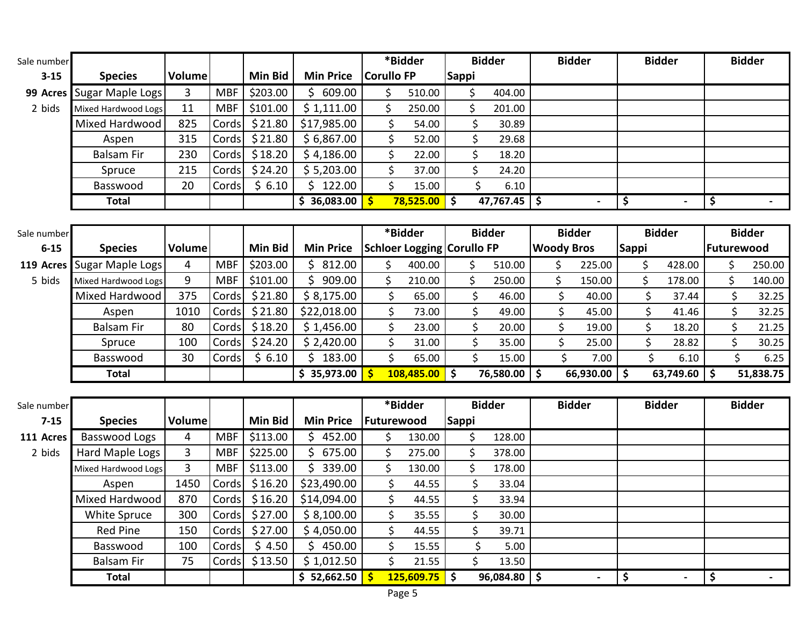| Sale number |                           |         |            |          |                  |                   | *Bidder   |              | <b>Bidder</b> | <b>Bidder</b>        | <b>Bidder</b>  | <b>Bidder</b> |
|-------------|---------------------------|---------|------------|----------|------------------|-------------------|-----------|--------------|---------------|----------------------|----------------|---------------|
| $3 - 15$    | <b>Species</b>            | Volumel |            | Min Bid  | <b>Min Price</b> | <b>Corullo FP</b> |           | <b>Sappi</b> |               |                      |                |               |
|             | 99 Acres Sugar Maple Logs | 3       | <b>MBF</b> | \$203.00 | 609.00           |                   | 510.00    |              | 404.00        |                      |                |               |
| 2 bids      | Mixed Hardwood Logs       | 11      | <b>MBF</b> | \$101.00 | \$1,111.00       |                   | 250.00    |              | 201.00        |                      |                |               |
|             | Mixed Hardwood            | 825     | Cords      | \$21.80  | \$17,985.00      |                   | 54.00     |              | 30.89         |                      |                |               |
|             | Aspen                     | 315     | Cords      | \$21.80  | \$6,867.00       |                   | 52.00     |              | 29.68         |                      |                |               |
|             | <b>Balsam Fir</b>         | 230     | Cords      | \$18.20  | \$4,186.00       |                   | 22.00     |              | 18.20         |                      |                |               |
|             | Spruce                    | 215     | Cords      | \$24.20  | \$5,203.00       |                   | 37.00     |              | 24.20         |                      |                |               |
|             | Basswood                  | 20      | Cords      | \$6.10   | 122.00           |                   | 15.00     |              | 6.10          |                      |                |               |
|             | Total                     |         |            |          | 36,083.00        |                   | 78,525.00 |              | 47,767.45     | \$<br>$\blacksquare$ | $\blacksquare$ |               |
|             |                           |         |            |          |                  |                   |           |              |               |                      |                |               |

| Sale number |                            |        |            |                |                  | *Bidder                           |    | <b>Bidder</b> |           |                   | <b>Bidder</b>    |              | <b>Bidder</b> |            | <b>Bidder</b> |
|-------------|----------------------------|--------|------------|----------------|------------------|-----------------------------------|----|---------------|-----------|-------------------|------------------|--------------|---------------|------------|---------------|
| $6 - 15$    | <b>Species</b>             | Volume |            | <b>Min Bid</b> | <b>Min Price</b> | <b>Schloer Logging Corullo FP</b> |    |               |           | <b>Woody Bros</b> |                  | <b>Sappi</b> |               | Futurewood |               |
|             | 119 Acres Sugar Maple Logs | 4      | <b>MBF</b> | \$203.00       | 812.00           | 400.00                            |    |               | 510.00    |                   | 225.00           |              | 428.00        |            | 250.00        |
| 5 bids      | Mixed Hardwood Logs        | 9      | <b>MBF</b> | \$101.00       | 909.00           | 210.00                            |    |               | 250.00    |                   | 150.00           |              | 178.00        |            | 140.00        |
|             | Mixed Hardwood             | 375    | Cords      | \$21.80        | \$8,175.00       | 65.00                             |    |               | 46.00     |                   | 40.00            |              | 37.44         |            | 32.25         |
|             | Aspen                      | 1010   | Cords      | \$21.80        | \$22,018.00      | 73.00                             |    |               | 49.00     |                   | 45.00            |              | 41.46         |            | 32.25         |
|             | <b>Balsam Fir</b>          | 80     | Cords      | \$18.20        | \$1,456.00       | 23.00                             |    |               | 20.00     |                   | 19.00            |              | 18.20         |            | 21.25         |
|             | Spruce                     | 100    | Cords      | \$24.20        | \$2,420.00       | 31.00                             |    |               | 35.00     |                   | 25.00            |              | 28.82         |            | 30.25         |
|             | Basswood                   | 30     | Cords      | \$6.10         | 183.00           | 65.00                             |    |               | 15.00     |                   | 7.00             |              | 6.10          |            | 6.25          |
|             | Total                      |        |            |                | \$35,973.00      | 108,485.00                        | Ŝ. |               | 76,580.00 |                   | $66,930.00$   \$ |              | 63,749.60     |            | 51,838.75     |

| Sale number |                     |        |            |                |                  |                   | *Bidder |            |              | <b>Bidder</b>  | <b>Bidder</b>  | <b>Bidder</b>  | <b>Bidder</b> |
|-------------|---------------------|--------|------------|----------------|------------------|-------------------|---------|------------|--------------|----------------|----------------|----------------|---------------|
| $7 - 15$    | <b>Species</b>      | Volume |            | <b>Min Bid</b> | <b>Min Price</b> | <b>Futurewood</b> |         |            | <b>Sappi</b> |                |                |                |               |
| 111 Acres   | Basswood Logs       | 4      | <b>MBF</b> | \$113.00       | 452.00           |                   |         | 130.00     |              | 128.00         |                |                |               |
| 2 bids      | Hard Maple Logs     | 3      | <b>MBF</b> | \$225.00       | 675.00           |                   |         | 275.00     |              | 378.00         |                |                |               |
|             | Mixed Hardwood Logs | 3      | <b>MBF</b> | \$113.00       | 339.00           |                   |         | 130.00     |              | 178.00         |                |                |               |
|             | Aspen               | 1450   | Cords      | \$16.20        | \$23,490.00      |                   |         | 44.55      | Ś            | 33.04          |                |                |               |
|             | Mixed Hardwood      | 870    | Cords      | \$16.20        | \$14,094.00      |                   |         | 44.55      | Ś            | 33.94          |                |                |               |
|             | White Spruce        | 300    | Cords      | \$27.00        | \$8,100.00       |                   |         | 35.55      | Ś.           | 30.00          |                |                |               |
|             | <b>Red Pine</b>     | 150    | Cords      | \$27.00        | \$4,050.00       |                   | \$      | 44.55      | \$           | 39.71          |                |                |               |
|             | Basswood            | 100    | Cords      | \$4.50         | 450.00           |                   | Ś       | 15.55      |              | 5.00           |                |                |               |
|             | <b>Balsam Fir</b>   | 75     | Cords      | \$13.50        | \$1,012.50       |                   |         | 21.55      | \$           | 13.50          |                |                |               |
|             | <b>Total</b>        |        |            |                | \$52,662.50      |                   |         | 125,609.75 |              | $96,084.80$ \$ | $\blacksquare$ | $\blacksquare$ |               |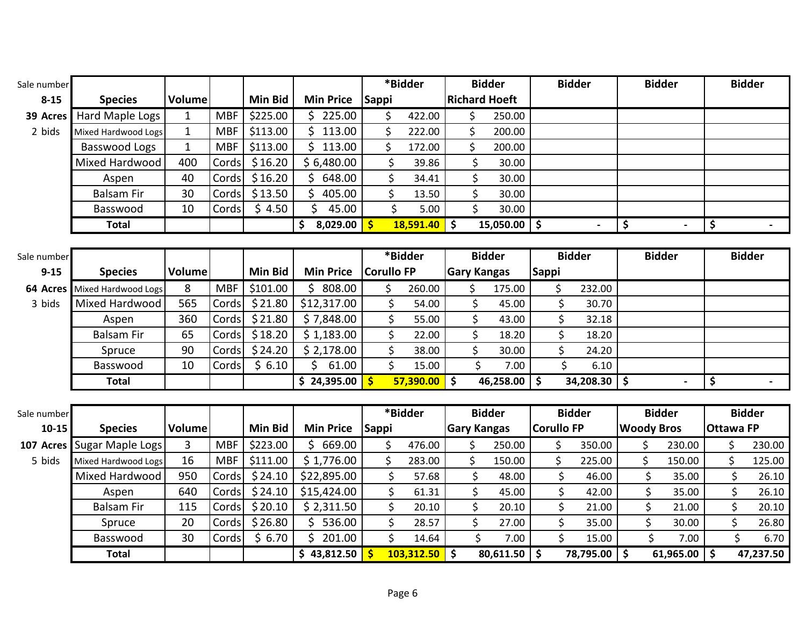| Sale number |                     |               |            |                |                        |                   | *Bidder         |                    | <b>Bidder</b>        |                   | <b>Bidder</b>  |                   | <b>Bidder</b>            |                  | <b>Bidder</b> |
|-------------|---------------------|---------------|------------|----------------|------------------------|-------------------|-----------------|--------------------|----------------------|-------------------|----------------|-------------------|--------------------------|------------------|---------------|
| $8 - 15$    | <b>Species</b>      | <b>Volume</b> |            | <b>Min Bid</b> | <b>Min Price</b>       | Sappi             |                 |                    | <b>Richard Hoeft</b> |                   |                |                   |                          |                  |               |
| 39 Acres    | Hard Maple Logs     | $\mathbf{1}$  | <b>MBF</b> | \$225.00       | \$225.00               | \$                | 422.00          | \$                 | 250.00               |                   |                |                   |                          |                  |               |
| 2 bids      | Mixed Hardwood Logs | $\mathbf{1}$  | <b>MBF</b> | \$113.00       | \$113.00               | \$                | 222.00          | $\zeta$            | 200.00               |                   |                |                   |                          |                  |               |
|             | Basswood Logs       | $\mathbf{1}$  | <b>MBF</b> | \$113.00       | $\mathsf{S}$<br>113.00 | \$                | 172.00          | \$                 | 200.00               |                   |                |                   |                          |                  |               |
|             | Mixed Hardwood      | 400           | Cords      | \$16.20        | \$6,480.00             | \$                | 39.86           | \$                 | 30.00                |                   |                |                   |                          |                  |               |
|             | Aspen               | 40            | Cords      | \$16.20        | \$648.00               | \$                | 34.41           | \$                 | 30.00                |                   |                |                   |                          |                  |               |
|             | <b>Balsam Fir</b>   | 30            | Cords      | \$13.50        | Ś.<br>405.00           | \$                | 13.50           | \$                 | 30.00                |                   |                |                   |                          |                  |               |
|             | Basswood            | 10            | Cords      | \$4.50         | Ś<br>45.00             | \$                | 5.00            | \$                 | 30.00                |                   |                |                   |                          |                  |               |
|             | <b>Total</b>        |               |            |                | 8,029.00<br>\$         | $\mathsf{S}$      | 18,591.40       | $\ddot{\bm{S}}$    | $15,050.00$ \$       |                   | $\blacksquare$ | \$                | $\overline{\phantom{0}}$ | \$               |               |
|             |                     |               |            |                |                        |                   |                 |                    |                      |                   |                |                   |                          |                  |               |
| Sale number |                     |               |            |                |                        |                   | *Bidder         |                    | <b>Bidder</b>        |                   | <b>Bidder</b>  |                   | <b>Bidder</b>            |                  | <b>Bidder</b> |
| $9 - 15$    | <b>Species</b>      | <b>Volume</b> |            | <b>Min Bid</b> | <b>Min Price</b>       | <b>Corullo FP</b> |                 | <b>Gary Kangas</b> |                      | <b>Sappi</b>      |                |                   |                          |                  |               |
| 64 Acres    | Mixed Hardwood Logs | 8             | <b>MBF</b> | \$101.00       | \$808.00               | \$                | 260.00          | \$                 | 175.00               | \$                | 232.00         |                   |                          |                  |               |
| 3 bids      | Mixed Hardwood      | 565           | Cords      | \$21.80        | \$12,317.00            | \$                | 54.00           | \$                 | 45.00                | \$                | 30.70          |                   |                          |                  |               |
|             | Aspen               | 360           | Cords      | \$21.80        | \$7,848.00             | \$                | 55.00           | \$                 | 43.00                | \$                | 32.18          |                   |                          |                  |               |
|             | <b>Balsam Fir</b>   | 65            | Cords      | \$18.20        | \$1,183.00             | \$                | 22.00           | \$                 | 18.20                | \$                | 18.20          |                   |                          |                  |               |
|             | Spruce              | 90            | Cords      | \$24.20        | \$2,178.00             | \$                | 38.00           | \$                 | 30.00                | \$                | 24.20          |                   |                          |                  |               |
|             | Basswood            | 10            | Cords      | \$6.10         | Ś.<br>61.00            | \$                | 15.00           | \$                 | 7.00                 | \$                | 6.10           |                   |                          |                  |               |
|             | <b>Total</b>        |               |            |                | \$24,395.00            | $\mathsf{S}$      | 57,390.00       | $\ddot{\bm{S}}$    | $46,258.00$ \$       |                   | $34,208.30$ \$ |                   |                          | \$               |               |
|             |                     |               |            |                |                        |                   |                 |                    |                      |                   |                |                   |                          |                  |               |
| Sale number |                     |               |            |                |                        |                   | *Bidder         |                    | <b>Bidder</b>        |                   | <b>Bidder</b>  |                   | <b>Bidder</b>            |                  | <b>Bidder</b> |
| $10 - 15$   | <b>Species</b>      | <b>Volume</b> |            | <b>Min Bid</b> | <b>Min Price</b>       | <b>Sappi</b>      |                 | <b>Gary Kangas</b> |                      | <b>Corullo FP</b> |                | <b>Woody Bros</b> |                          | <b>Ottawa FP</b> |               |
| 107 Acres   | Sugar Maple Logs    | 3             | <b>MBF</b> | \$223.00       | \$669.00               | \$                | 476.00          | \$                 | 250.00               | \$                | 350.00         | \$                | 230.00                   | \$               | 230.00        |
| 5 bids      | Mixed Hardwood Logs | 16            | <b>MBF</b> | \$111.00       | \$1,776.00             | \$                | 283.00          | $\zeta$            | 150.00               | \$                | 225.00         | \$                | 150.00                   | \$               | 125.00        |
|             | Mixed Hardwood      | 950           | Cords      | \$24.10        | \$22,895.00            | \$                | 57.68           | \$                 | 48.00                | \$                | 46.00          | \$                | 35.00                    | \$               | 26.10         |
|             | Aspen               | 640           | Cords      | \$24.10        | \$15,424.00            | \$                | 61.31           | \$                 | 45.00                | \$                | 42.00          | \$                | 35.00                    | \$               | 26.10         |
|             | <b>Balsam Fir</b>   | 115           | Cords      | \$20.10        | \$2,311.50             | \$                | 20.10           | \$                 | 20.10                | \$                | 21.00          | \$                | 21.00                    | \$               | 20.10         |
|             | Spruce              | 20            | Cords      | \$26.80        | \$536.00               | \$                | 28.57           | \$                 | 27.00                | \$                | 35.00          | \$                | 30.00                    | \$               | 26.80         |
|             | Basswood            | 30            | Cords      | \$6.70         | \$201.00               | \$                | 14.64           | $\zeta$            | 7.00                 | \$                | 15.00          | \$                | 7.00                     | \$               | 6.70          |
|             | <b>Total</b>        |               |            |                | \$43,812.50            | -Ś                | $103,312.50$ \$ |                    | $80,611.50$ \$       |                   | 78,795.00      | Ŝ.                | 61,965.00                | l \$             | 47,237.50     |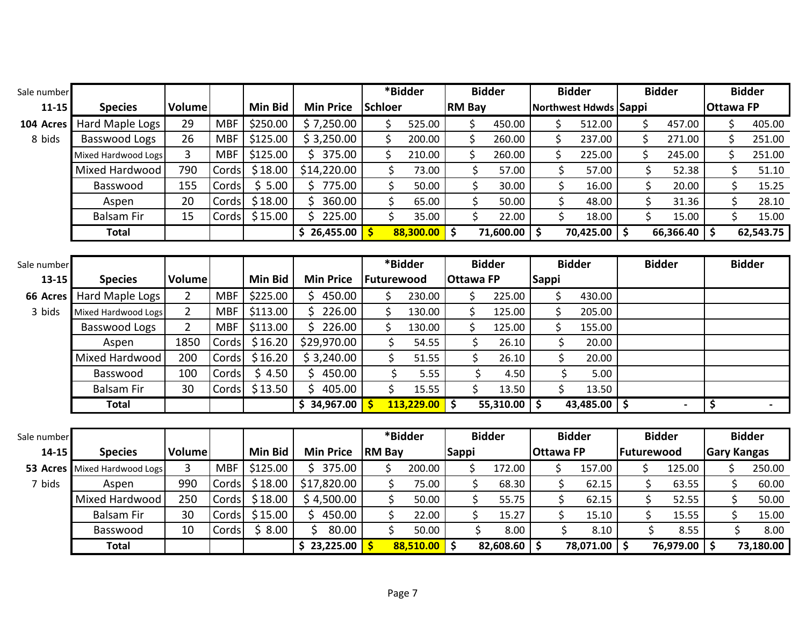| Sale number |                            |                |            |                |                              |               | *Bidder                      |                  |         | <b>Bidder</b>  |                  |              | <b>Bidder</b>           |            | <b>Bidder</b> |              |                  | <b>Bidder</b> |                    |
|-------------|----------------------------|----------------|------------|----------------|------------------------------|---------------|------------------------------|------------------|---------|----------------|------------------|--------------|-------------------------|------------|---------------|--------------|------------------|---------------|--------------------|
| $11 - 15$   | <b>Species</b>             | Volume         |            | <b>Min Bid</b> | <b>Min Price</b>             | Schloer       |                              | <b>RM Bay</b>    |         |                |                  |              | Northwest Hdwds Sappi   |            |               |              | <b>Ottawa FP</b> |               |                    |
| 104 Acres   | Hard Maple Logs            | 29             | <b>MBF</b> | \$250.00       | \$7,250.00                   | \$            | 525.00                       |                  | \$      | 450.00         |                  | \$           | 512.00                  |            | \$            | 457.00       |                  | \$            | 405.00             |
| 8 bids      | Basswood Logs              | 26             | <b>MBF</b> | \$125.00       | \$3,250.00                   | \$            | 200.00                       |                  | \$      | 260.00         |                  | \$           | 237.00                  |            | \$            | 271.00       |                  | \$            | 251.00             |
|             | Mixed Hardwood Logs        | $\overline{3}$ | <b>MBF</b> | \$125.00       | \$375.00                     | \$            | 210.00                       |                  | \$      | 260.00         |                  | \$           | 225.00                  |            | \$            | 245.00       |                  | \$            | 251.00             |
|             | Mixed Hardwood             | 790            | Cords      | \$18.00        | \$14,220.00                  | \$            | 73.00                        |                  | \$      | 57.00          |                  | \$           | 57.00                   |            | \$            | 52.38        |                  |               | 51.10              |
|             | Basswood                   | 155            | Cords      | \$5.00         | \$775.00                     | \$            | 50.00                        |                  | \$      | 30.00          |                  | \$           | 16.00                   |            | \$            | 20.00        |                  | \$            | 15.25              |
|             | Aspen                      | 20             | Cords      | \$18.00        | $\mathsf{\dot{S}}$<br>360.00 | \$            | 65.00                        |                  | \$      | 50.00          |                  | $\zeta$      | 48.00                   |            | \$            | 31.36        |                  | \$            | 28.10              |
|             | <b>Balsam Fir</b>          | 15             | Cords      | \$15.00        | \$225.00                     |               | \$<br>35.00                  |                  | \$      | 22.00          |                  | \$           | 18.00                   |            | \$            | 15.00        |                  | \$            | 15.00              |
|             | <b>Total</b>               |                |            |                | \$26,455.00                  | $\mathsf{\$}$ | $88,300.00$ \$               |                  |         | 71,600.00      | \$ ا             |              | 70,425.00 \$            |            |               | 66,366.40    | \$               |               | 62,543.75          |
|             |                            |                |            |                |                              |               |                              |                  |         |                |                  |              |                         |            |               |              |                  |               |                    |
| Sale number |                            |                |            |                |                              |               | $*\overline{\text{B}}$ idder |                  |         | <b>Bidder</b>  |                  |              | <b>Bidder</b>           |            | <b>Bidder</b> |              |                  | <b>Bidder</b> |                    |
| $13 - 15$   | <b>Species</b>             | Volume         |            | <b>Min Bid</b> | <b>Min Price</b>             |               | Futurewood                   | <b>Ottawa FP</b> |         |                | <b>Sappi</b>     |              |                         |            |               |              |                  |               |                    |
| 66 Acres    | Hard Maple Logs            | $2^{\circ}$    | <b>MBF</b> | \$225.00       | \$450.00                     | \$.           | 230.00                       |                  | \$      | 225.00         |                  | \$           | 430.00                  |            |               |              |                  |               |                    |
| 3 bids      | Mixed Hardwood Logs        | $2^{\circ}$    | <b>MBF</b> | \$113.00       | \$226.00                     | \$            | 130.00                       |                  | \$      | 125.00         |                  | \$           | 205.00                  |            |               |              |                  |               |                    |
|             | Basswood Logs              | $2^{\circ}$    | <b>MBF</b> | \$113.00       | Ś.<br>226.00                 | \$            | 130.00                       |                  | \$      | 125.00         |                  | \$           | 155.00                  |            |               |              |                  |               |                    |
|             | Aspen                      | 1850           | Cords      | \$16.20        | \$29,970.00                  | \$            | 54.55                        |                  | \$      | 26.10          |                  | \$           | 20.00                   |            |               |              |                  |               |                    |
|             | Mixed Hardwood             | 200            | Cords      | \$16.20        | \$3,240.00                   | \$            | 51.55                        |                  | \$      | 26.10          |                  | \$           | 20.00                   |            |               |              |                  |               |                    |
|             | Basswood                   | 100            | Cords      | \$4.50         | Ś.<br>450.00                 |               | \$<br>5.55                   |                  | \$      | 4.50           |                  | \$           | 5.00                    |            |               |              |                  |               |                    |
|             | <b>Balsam Fir</b>          | 30             | Cords      | \$13.50        | \$405.00                     |               | \$<br>15.55                  |                  | \$      | 13.50          |                  | $\mathsf{S}$ | 13.50                   |            |               |              |                  |               |                    |
|             | <b>Total</b>               |                |            |                | \$34,967.00                  | $\mathsf{\$}$ | $113,229.00$ \$              |                  |         | $55,310.00$ \$ |                  |              | 43,485.00 $\frac{1}{5}$ |            |               |              | \$               |               |                    |
|             |                            |                |            |                |                              |               |                              |                  |         |                |                  |              |                         |            |               |              |                  |               |                    |
| Sale number |                            |                |            |                |                              |               | *Bidder                      |                  |         | <b>Bidder</b>  |                  |              | <b>Bidder</b>           |            | <b>Bidder</b> |              |                  | <b>Bidder</b> |                    |
| 14-15       | <b>Species</b>             | Volume         |            | <b>Min Bid</b> | <b>Min Price</b>             | <b>RM Bay</b> |                              | <b>Sappi</b>     |         |                | <b>Ottawa FP</b> |              |                         | Futurewood |               |              |                  |               | <b>Gary Kangas</b> |
| 53 Acres    | <b>Mixed Hardwood Logs</b> | 3              | <b>MBF</b> | \$125.00       | \$375.00                     | \$.           | 200.00                       |                  | \$      | 172.00         |                  | \$           | 157.00                  |            | \$            | 125.00       |                  | \$            | 250.00             |
| 7 bids      | Aspen                      | 990            | Cords      | \$18.00        | \$17,820.00                  | \$            | 75.00                        |                  | \$      | 68.30          |                  | \$           | 62.15                   |            | \$            | 63.55        |                  | \$            | 60.00              |
|             | Mixed Hardwood             | 250            | Cords      | \$18.00        | \$4,500.00                   |               | \$<br>50.00                  |                  | \$      | 55.75          |                  | \$           | 62.15                   |            | \$            | 52.55        |                  | \$            | 50.00              |
|             | <b>Balsam Fir</b>          | 30             | Cords      | \$15.00        | \$450.00                     | \$            | 22.00                        |                  | \$      | 15.27          |                  | \$           | 15.10                   |            | \$            | 15.55        |                  | \$            | 15.00              |
|             | Basswood                   | 10             | Cords      | \$8.00         | Ś.<br>80.00                  |               | \$<br>50.00                  |                  | $\zeta$ | 8.00           |                  | \$           | 8.10                    |            | \$            | 8.55         |                  | \$            | 8.00               |
|             | <b>Total</b>               |                |            |                | \$23,225.00                  | $\mathsf{S}$  | $88,510.00$ \$               |                  |         | $82,608.60$ \$ |                  |              | 78,071.00 \$            |            |               | 76,979.00 \$ |                  |               | 73,180.00          |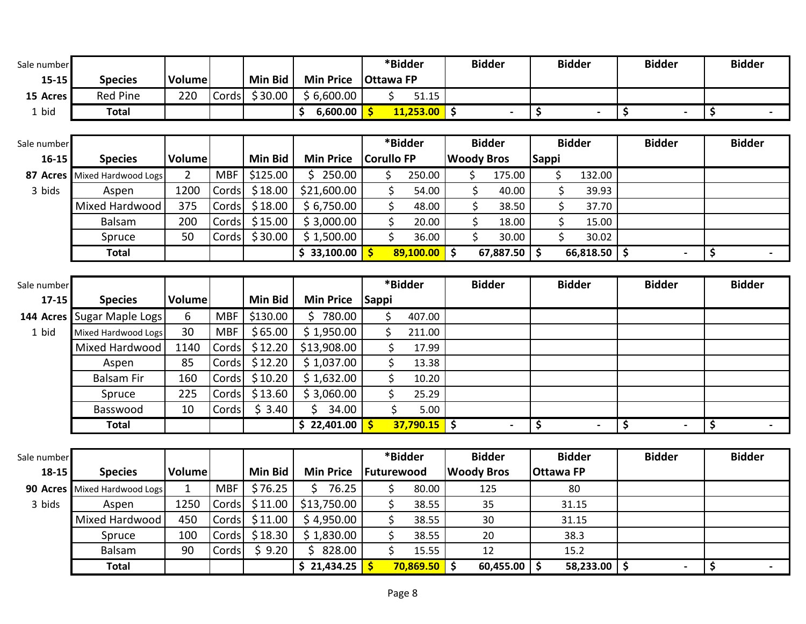| Sale number |                     |                |            |                |                   |              | *Bidder           |    | <b>Bidder</b>     |              | <b>Bidder</b>  | <b>Bidder</b>        | <b>Bidder</b> |
|-------------|---------------------|----------------|------------|----------------|-------------------|--------------|-------------------|----|-------------------|--------------|----------------|----------------------|---------------|
| $15 - 15$   | <b>Species</b>      | Volume         |            | <b>Min Bid</b> | <b>Min Price</b>  |              | <b>Ottawa FP</b>  |    |                   |              |                |                      |               |
| 15 Acres    | <b>Red Pine</b>     | 220            | Cords      | \$30.00        | \$6,600.00        |              | \$<br>51.15       |    |                   |              |                |                      |               |
| 1 bid       | <b>Total</b>        |                |            |                | \$<br>6,600.00 \$ |              | $11,253.00$ \$    |    |                   | \$           | $\blacksquare$ | \$<br>$\blacksquare$ | \$            |
|             |                     |                |            |                |                   |              |                   |    |                   |              |                |                      |               |
| Sale number |                     |                |            |                |                   |              | *Bidder           |    | <b>Bidder</b>     |              | <b>Bidder</b>  | <b>Bidder</b>        | <b>Bidder</b> |
| $16 - 15$   | <b>Species</b>      | Volume         |            | Min Bid        | <b>Min Price</b>  |              | <b>Corullo FP</b> |    | <b>Woody Bros</b> | <b>Sappi</b> |                |                      |               |
| 87 Acres    | Mixed Hardwood Logs | $\overline{2}$ | <b>MBF</b> | \$125.00       | \$250.00          |              | \$<br>250.00      | \$ | 175.00            |              | \$<br>132.00   |                      |               |
| 3 bids      | Aspen               | 1200           | Cords      | \$18.00        | \$21,600.00       |              | \$<br>54.00       | \$ | 40.00             |              | \$<br>39.93    |                      |               |
|             | Mixed Hardwood      | 375            | Cords      | \$18.00        | \$6,750.00        |              | \$<br>48.00       | \$ | 38.50             |              | \$<br>37.70    |                      |               |
|             | Balsam              | 200            | Cords      | \$15.00        | \$3,000.00        |              | \$<br>20.00       | \$ | 18.00             |              | \$<br>15.00    |                      |               |
|             | Spruce              | 50             | Cords      | \$30.00        | \$1,500.00        |              | \$<br>36.00       | \$ | 30.00             |              | \$<br>30.02    |                      |               |
|             | <b>Total</b>        |                |            |                | \$33,100.00       |              | $89,100.00$ \$    |    | 67,887.50         | \$           | $66,818.50$ \$ |                      | \$            |
|             |                     |                |            |                |                   |              |                   |    |                   |              |                |                      |               |
| Sale number |                     |                |            |                |                   |              | *Bidder           |    | <b>Bidder</b>     |              | <b>Bidder</b>  | <b>Bidder</b>        | <b>Bidder</b> |
| $17 - 15$   | <b>Species</b>      | <b>Volume</b>  |            | <b>Min Bid</b> | <b>Min Price</b>  | <b>Sappi</b> |                   |    |                   |              |                |                      |               |
| 144 Acres   | Sugar Maple Logs    | 6              | <b>MBF</b> | \$130.00       | \$780.00          |              | \$<br>407.00      |    |                   |              |                |                      |               |
| 1 bid       | Mixed Hardwood Logs | 30             | <b>MBF</b> | \$65.00        | \$1,950.00        |              | \$<br>211.00      |    |                   |              |                |                      |               |
|             | Mixed Hardwood      | 1140           | Cords      | \$12.20        | \$13,908.00       |              | \$<br>17.99       |    |                   |              |                |                      |               |
|             | Aspen               | 85             | Cords      | \$12.20        | \$1,037.00        |              | \$<br>13.38       |    |                   |              |                |                      |               |
|             | <b>Balsam Fir</b>   | 160            | Cords      | \$10.20        | \$1,632.00        |              | \$<br>10.20       |    |                   |              |                |                      |               |
|             | Spruce              | 225            | Cords      | \$13.60        | \$3,060.00        |              | \$<br>25.29       |    |                   |              |                |                      |               |
|             | Basswood            | 10             | Cords      | \$3.40         | Ś.<br>34.00       |              | \$<br>5.00        |    |                   |              |                |                      |               |
|             | <b>Total</b>        |                |            |                | \$22,401.00       |              | $37,790.15$ \$    |    |                   | \$           | $\blacksquare$ | \$                   | \$            |
|             |                     |                |            |                |                   |              |                   |    |                   |              |                |                      |               |
|             |                     |                |            |                |                   |              |                   |    |                   |              |                |                      |               |

| Sale number |                              |        |            |         |                  |            | *Bidder        | <b>Bidder</b>     | <b>Bidder</b>    | <b>Bidder</b> | <b>Bidder</b> |  |
|-------------|------------------------------|--------|------------|---------|------------------|------------|----------------|-------------------|------------------|---------------|---------------|--|
| $18 - 15$   | <b>Species</b>               | Volume |            | Min Bid | <b>Min Price</b> | Futurewood |                | <b>Woody Bros</b> | <b>Ottawa FP</b> |               |               |  |
|             | 90 Acres Mixed Hardwood Logs |        | <b>MBF</b> | \$76.25 | 76.25            |            | 80.00          | 125               | 80               |               |               |  |
| 3 bids      | Aspen                        | 1250   | Cords      | \$11.00 | \$13,750.00      |            | 38.55          | 35                | 31.15            |               |               |  |
|             | Mixed Hardwood               | 450    | Cords      | \$11.00 | \$4,950.00       |            | 38.55          | 30                | 31.15            |               |               |  |
|             | Spruce                       | 100    | Cords      | \$18.30 | \$1,830.00       |            | 38.55          | 20                | 38.3             |               |               |  |
|             | <b>Balsam</b>                | 90     | Cords      | \$ 9.20 | 828.00           |            | 15.55          | 12                | 15.2             |               |               |  |
|             | <b>Total</b>                 |        |            |         | \$21,434.25      |            | $70,869.50$ \$ | 60,455.00         | 58,233.00        |               |               |  |